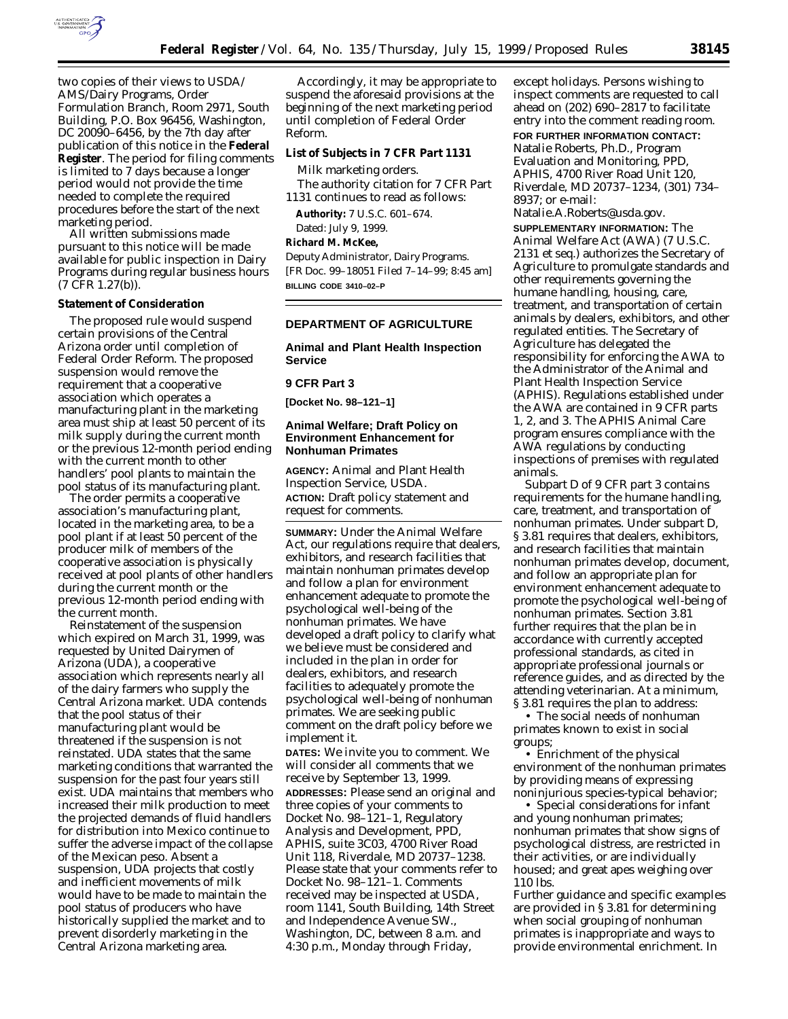

two copies of their views to USDA/ AMS/Dairy Programs, Order Formulation Branch, Room 2971, South Building, P.O. Box 96456, Washington, DC 20090–6456, by the 7th day after publication of this notice in the **Federal Register**. The period for filing comments is limited to 7 days because a longer period would not provide the time needed to complete the required procedures before the start of the next marketing period.

All written submissions made pursuant to this notice will be made available for public inspection in Dairy Programs during regular business hours (7 CFR 1.27(b)).

### **Statement of Consideration**

The proposed rule would suspend certain provisions of the Central Arizona order until completion of Federal Order Reform. The proposed suspension would remove the requirement that a cooperative association which operates a manufacturing plant in the marketing area must ship at least 50 percent of its milk supply during the current month or the previous 12-month period ending with the current month to other handlers' pool plants to maintain the pool status of its manufacturing plant.

The order permits a cooperative association's manufacturing plant, located in the marketing area, to be a pool plant if at least 50 percent of the producer milk of members of the cooperative association is physically received at pool plants of other handlers during the current month or the previous 12-month period ending with the current month.

Reinstatement of the suspension which expired on March 31, 1999, was requested by United Dairymen of Arizona (UDA), a cooperative association which represents nearly all of the dairy farmers who supply the Central Arizona market. UDA contends that the pool status of their manufacturing plant would be threatened if the suspension is not reinstated. UDA states that the same marketing conditions that warranted the suspension for the past four years still exist. UDA maintains that members who increased their milk production to meet the projected demands of fluid handlers for distribution into Mexico continue to suffer the adverse impact of the collapse of the Mexican peso. Absent a suspension, UDA projects that costly and inefficient movements of milk would have to be made to maintain the pool status of producers who have historically supplied the market and to prevent disorderly marketing in the Central Arizona marketing area.

Accordingly, it may be appropriate to suspend the aforesaid provisions at the beginning of the next marketing period until completion of Federal Order Reform.

### **List of Subjects in 7 CFR Part 1131**

Milk marketing orders. The authority citation for 7 CFR Part 1131 continues to read as follows:

**Authority:** 7 U.S.C. 601–674. Dated: July 9, 1999.

**Richard M. McKee,**

*Deputy Administrator, Dairy Programs.* [FR Doc. 99–18051 Filed 7–14–99; 8:45 am] **BILLING CODE 3410–02–P**

## **DEPARTMENT OF AGRICULTURE**

**Animal and Plant Health Inspection Service**

### **9 CFR Part 3**

**[Docket No. 98–121–1]**

### **Animal Welfare; Draft Policy on Environment Enhancement for Nonhuman Primates**

**AGENCY:** Animal and Plant Health Inspection Service, USDA. **ACTION:** Draft policy statement and request for comments.

**SUMMARY:** Under the Animal Welfare Act, our regulations require that dealers, exhibitors, and research facilities that maintain nonhuman primates develop and follow a plan for environment enhancement adequate to promote the psychological well-being of the nonhuman primates. We have developed a draft policy to clarify what we believe must be considered and included in the plan in order for dealers, exhibitors, and research facilities to adequately promote the psychological well-being of nonhuman primates. We are seeking public comment on the draft policy before we implement it.

**DATES:** We invite you to comment. We will consider all comments that we receive by September 13, 1999. **ADDRESSES:** Please send an original and three copies of your comments to Docket No. 98–121–1, Regulatory Analysis and Development, PPD, APHIS, suite 3C03, 4700 River Road Unit 118, Riverdale, MD 20737–1238. Please state that your comments refer to Docket No. 98–121–1. Comments received may be inspected at USDA, room 1141, South Building, 14th Street and Independence Avenue SW., Washington, DC, between 8 a.m. and 4:30 p.m., Monday through Friday,

except holidays. Persons wishing to inspect comments are requested to call ahead on (202) 690–2817 to facilitate entry into the comment reading room.

# **FOR FURTHER INFORMATION CONTACT:**

Natalie Roberts, Ph.D., Program Evaluation and Monitoring, PPD, APHIS, 4700 River Road Unit 120, Riverdale, MD 20737–1234, (301) 734– 8937; or e-mail:

Natalie.A.Roberts@usda.gov.

**SUPPLEMENTARY INFORMATION:** The Animal Welfare Act (AWA) (7 U.S.C. 2131 *et seq.*) authorizes the Secretary of Agriculture to promulgate standards and other requirements governing the humane handling, housing, care, treatment, and transportation of certain animals by dealers, exhibitors, and other regulated entities. The Secretary of Agriculture has delegated the responsibility for enforcing the AWA to the Administrator of the Animal and Plant Health Inspection Service (APHIS). Regulations established under the AWA are contained in 9 CFR parts 1, 2, and 3. The APHIS Animal Care program ensures compliance with the AWA regulations by conducting inspections of premises with regulated animals.

Subpart D of 9 CFR part 3 contains requirements for the humane handling, care, treatment, and transportation of nonhuman primates. Under subpart D, § 3.81 requires that dealers, exhibitors, and research facilities that maintain nonhuman primates develop, document, and follow an appropriate plan for environment enhancement adequate to promote the psychological well-being of nonhuman primates. Section 3.81 further requires that the plan be in accordance with currently accepted professional standards, as cited in appropriate professional journals or reference guides, and as directed by the attending veterinarian. At a minimum, § 3.81 requires the plan to address:

• The social needs of nonhuman primates known to exist in social groups;

• Enrichment of the physical environment of the nonhuman primates by providing means of expressing noninjurious species-typical behavior;

• Special considerations for infant and young nonhuman primates; nonhuman primates that show signs of psychological distress, are restricted in their activities, or are individually housed; and great apes weighing over 110 lbs.

Further guidance and specific examples are provided in § 3.81 for determining when social grouping of nonhuman primates is inappropriate and ways to provide environmental enrichment. In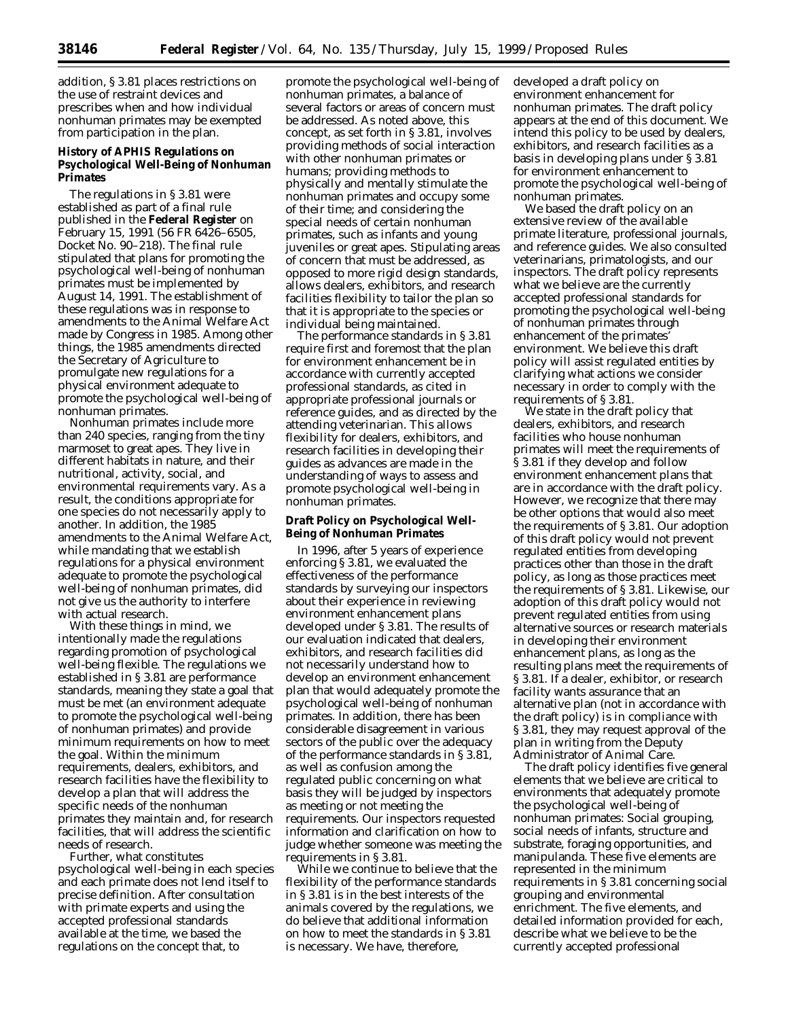addition, § 3.81 places restrictions on the use of restraint devices and prescribes when and how individual nonhuman primates may be exempted from participation in the plan.

### **History of APHIS Regulations on Psychological Well-Being of Nonhuman Primates**

The regulations in § 3.81 were established as part of a final rule published in the **Federal Register** on February 15, 1991 (56 FR 6426–6505, Docket No. 90–218). The final rule stipulated that plans for promoting the psychological well-being of nonhuman primates must be implemented by August 14, 1991. The establishment of these regulations was in response to amendments to the Animal Welfare Act made by Congress in 1985. Among other things, the 1985 amendments directed the Secretary of Agriculture to promulgate new regulations for a physical environment adequate to promote the psychological well-being of nonhuman primates.

Nonhuman primates include more than 240 species, ranging from the tiny marmoset to great apes. They live in different habitats in nature, and their nutritional, activity, social, and environmental requirements vary. As a result, the conditions appropriate for one species do not necessarily apply to another. In addition, the 1985 amendments to the Animal Welfare Act, while mandating that we establish regulations for a physical environment adequate to promote the psychological well-being of nonhuman primates, did not give us the authority to interfere with actual research.

With these things in mind, we intentionally made the regulations regarding promotion of psychological well-being flexible. The regulations we established in § 3.81 are performance standards, meaning they state a goal that must be met (an environment adequate to promote the psychological well-being of nonhuman primates) and provide minimum requirements on how to meet the goal. Within the minimum requirements, dealers, exhibitors, and research facilities have the flexibility to develop a plan that will address the specific needs of the nonhuman primates they maintain and, for research facilities, that will address the scientific needs of research.

Further, what constitutes psychological well-being in each species and each primate does not lend itself to precise definition. After consultation with primate experts and using the accepted professional standards available at the time, we based the regulations on the concept that, to

promote the psychological well-being of nonhuman primates, a balance of several factors or areas of concern must be addressed. As noted above, this concept, as set forth in § 3.81, involves providing methods of social interaction with other nonhuman primates or humans; providing methods to physically and mentally stimulate the nonhuman primates and occupy some of their time; and considering the special needs of certain nonhuman primates, such as infants and young juveniles or great apes. Stipulating areas of concern that must be addressed, as opposed to more rigid design standards, allows dealers, exhibitors, and research facilities flexibility to tailor the plan so that it is appropriate to the species or individual being maintained.

The performance standards in § 3.81 require first and foremost that the plan for environment enhancement be in accordance with currently accepted professional standards, as cited in appropriate professional journals or reference guides, and as directed by the attending veterinarian. This allows flexibility for dealers, exhibitors, and research facilities in developing their guides as advances are made in the understanding of ways to assess and promote psychological well-being in nonhuman primates.

### **Draft Policy on Psychological Well-Being of Nonhuman Primates**

In 1996, after 5 years of experience enforcing § 3.81, we evaluated the effectiveness of the performance standards by surveying our inspectors about their experience in reviewing environment enhancement plans developed under § 3.81. The results of our evaluation indicated that dealers, exhibitors, and research facilities did not necessarily understand how to develop an environment enhancement plan that would adequately promote the psychological well-being of nonhuman primates. In addition, there has been considerable disagreement in various sectors of the public over the adequacy of the performance standards in § 3.81, as well as confusion among the regulated public concerning on what basis they will be judged by inspectors as meeting or not meeting the requirements. Our inspectors requested information and clarification on how to judge whether someone was meeting the requirements in § 3.81.

While we continue to believe that the flexibility of the performance standards in § 3.81 is in the best interests of the animals covered by the regulations, we do believe that additional information on how to meet the standards in § 3.81 is necessary. We have, therefore,

developed a draft policy on environment enhancement for nonhuman primates. The draft policy appears at the end of this document. We intend this policy to be used by dealers, exhibitors, and research facilities as a basis in developing plans under § 3.81 for environment enhancement to promote the psychological well-being of nonhuman primates.

We based the draft policy on an extensive review of the available primate literature, professional journals, and reference guides. We also consulted veterinarians, primatologists, and our inspectors. The draft policy represents what we believe are the currently accepted professional standards for promoting the psychological well-being of nonhuman primates through enhancement of the primates' environment. We believe this draft policy will assist regulated entities by clarifying what actions we consider necessary in order to comply with the requirements of § 3.81.

We state in the draft policy that dealers, exhibitors, and research facilities who house nonhuman primates will meet the requirements of § 3.81 if they develop and follow environment enhancement plans that are in accordance with the draft policy. However, we recognize that there may be other options that would also meet the requirements of § 3.81. Our adoption of this draft policy would not prevent regulated entities from developing practices other than those in the draft policy, as long as those practices meet the requirements of § 3.81. Likewise, our adoption of this draft policy would not prevent regulated entities from using alternative sources or research materials in developing their environment enhancement plans, as long as the resulting plans meet the requirements of § 3.81. If a dealer, exhibitor, or research facility wants assurance that an alternative plan (not in accordance with the draft policy) is in compliance with § 3.81, they may request approval of the plan in writing from the Deputy Administrator of Animal Care.

The draft policy identifies five general elements that we believe are critical to environments that adequately promote the psychological well-being of nonhuman primates: Social grouping, social needs of infants, structure and substrate, foraging opportunities, and manipulanda. These five elements are represented in the minimum requirements in § 3.81 concerning social grouping and environmental enrichment. The five elements, and detailed information provided for each, describe what we believe to be the currently accepted professional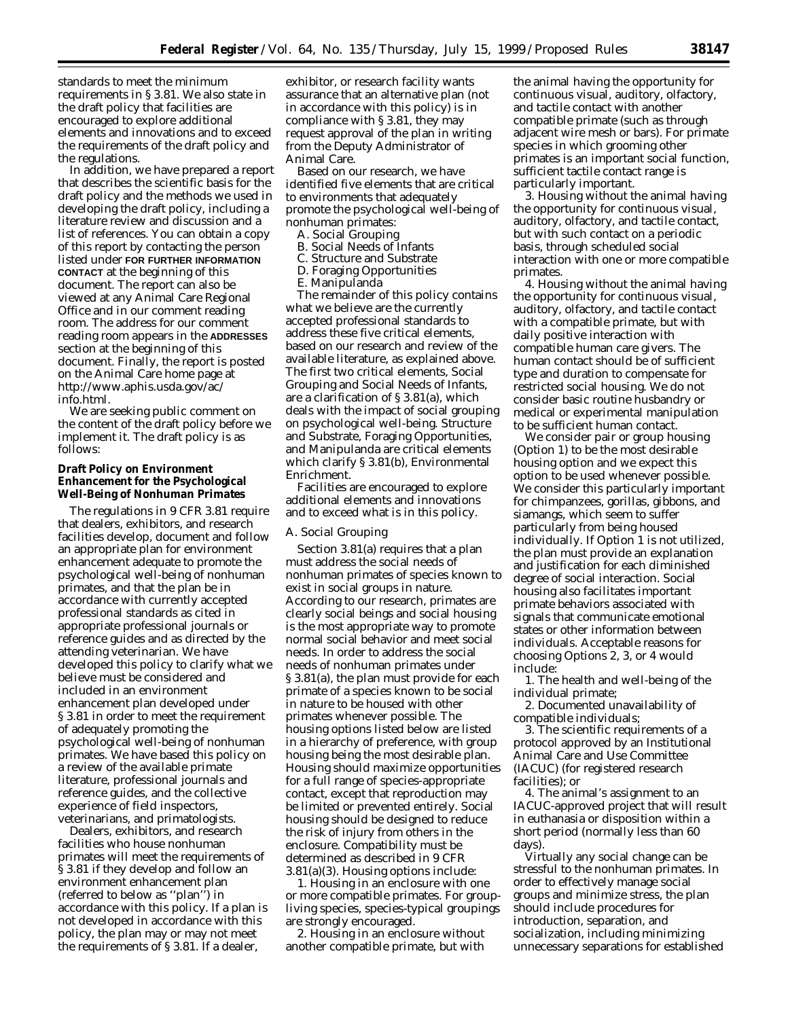standards to meet the minimum requirements in § 3.81. We also state in the draft policy that facilities are encouraged to explore additional elements and innovations and to exceed the requirements of the draft policy and the regulations.

In addition, we have prepared a report that describes the scientific basis for the draft policy and the methods we used in developing the draft policy, including a literature review and discussion and a list of references. You can obtain a copy of this report by contacting the person listed under **FOR FURTHER INFORMATION CONTACT** at the beginning of this document. The report can also be viewed at any Animal Care Regional Office and in our comment reading room. The address for our comment reading room appears in the **ADDRESSES** section at the beginning of this document. Finally, the report is posted on the Animal Care home page at http://www.aphis.usda.gov/ac/ info.html.

We are seeking public comment on the content of the draft policy before we implement it. The draft policy is as follows:

### **Draft Policy on Environment Enhancement for the Psychological Well-Being of Nonhuman Primates**

The regulations in 9 CFR 3.81 require that dealers, exhibitors, and research facilities develop, document and follow an appropriate plan for environment enhancement adequate to promote the psychological well-being of nonhuman primates, and that the plan be in accordance with currently accepted professional standards as cited in appropriate professional journals or reference guides and as directed by the attending veterinarian. We have developed this policy to clarify what we believe must be considered and included in an environment enhancement plan developed under § 3.81 in order to meet the requirement of adequately promoting the psychological well-being of nonhuman primates. We have based this policy on a review of the available primate literature, professional journals and reference guides, and the collective experience of field inspectors, veterinarians, and primatologists.

Dealers, exhibitors, and research facilities who house nonhuman primates will meet the requirements of § 3.81 if they develop and follow an environment enhancement plan (referred to below as ''plan'') in accordance with this policy. If a plan is not developed in accordance with this policy, the plan may or may not meet the requirements of § 3.81. If a dealer,

exhibitor, or research facility wants assurance that an alternative plan (not in accordance with this policy) is in compliance with § 3.81, they may request approval of the plan in writing from the Deputy Administrator of Animal Care.

Based on our research, we have identified five elements that are critical to environments that adequately promote the psychological well-being of nonhuman primates:

- A. Social Grouping
- B. Social Needs of Infants
- C. Structure and Substrate
- D. Foraging Opportunities
- E. Manipulanda

The remainder of this policy contains what we believe are the currently accepted professional standards to address these five critical elements, based on our research and review of the available literature, as explained above. The first two critical elements, Social Grouping and Social Needs of Infants, are a clarification of § 3.81(a), which deals with the impact of social grouping on psychological well-being. Structure and Substrate, Foraging Opportunities, and Manipulanda are critical elements which clarify § 3.81(b), Environmental Enrichment.

Facilities are encouraged to explore additional elements and innovations and to exceed what is in this policy.

#### *A. Social Grouping*

Section 3.81(a) requires that a plan must address the social needs of nonhuman primates of species known to exist in social groups in nature. According to our research, primates are clearly social beings and social housing is the most appropriate way to promote normal social behavior and meet social needs. In order to address the social needs of nonhuman primates under § 3.81(a), the plan must provide for each primate of a species known to be social in nature to be housed with other primates whenever possible. The housing options listed below are listed in a hierarchy of preference, with group housing being the most desirable plan. Housing should maximize opportunities for a full range of species-appropriate contact, except that reproduction may be limited or prevented entirely. Social housing should be designed to reduce the risk of injury from others in the enclosure. Compatibility must be determined as described in 9 CFR 3.81(a)(3). Housing options include:

1. Housing in an enclosure with one or more compatible primates. For groupliving species, species-typical groupings are strongly encouraged.

2. Housing in an enclosure without another compatible primate, but with

the animal having the opportunity for continuous visual, auditory, olfactory, and tactile contact with another compatible primate (such as through adjacent wire mesh or bars). For primate species in which grooming other primates is an important social function, sufficient tactile contact range is particularly important.

3. Housing without the animal having the opportunity for continuous visual, auditory, olfactory, and tactile contact, but with such contact on a periodic basis, through scheduled social interaction with one or more compatible primates.

4. Housing without the animal having the opportunity for continuous visual, auditory, olfactory, and tactile contact with a compatible primate, but with daily positive interaction with compatible human care givers. The human contact should be of sufficient type and duration to compensate for restricted social housing. We do not consider basic routine husbandry or medical or experimental manipulation to be sufficient human contact.

We consider pair or group housing (Option 1) to be the most desirable housing option and we expect this option to be used whenever possible. We consider this particularly important for chimpanzees, gorillas, gibbons, and siamangs, which seem to suffer particularly from being housed individually. If Option 1 is not utilized, the plan must provide an explanation and justification for each diminished degree of social interaction. Social housing also facilitates important primate behaviors associated with signals that communicate emotional states or other information between individuals. Acceptable reasons for choosing Options 2, 3, or 4 would include:

1. The health and well-being of the individual primate;

2. Documented unavailability of compatible individuals;

3. The scientific requirements of a protocol approved by an Institutional Animal Care and Use Committee (IACUC) (for registered research facilities); or

4. The animal's assignment to an IACUC-approved project that will result in euthanasia or disposition within a short period (normally less than 60 days).

Virtually any social change can be stressful to the nonhuman primates. In order to effectively manage social groups and minimize stress, the plan should include procedures for introduction, separation, and socialization, including minimizing unnecessary separations for established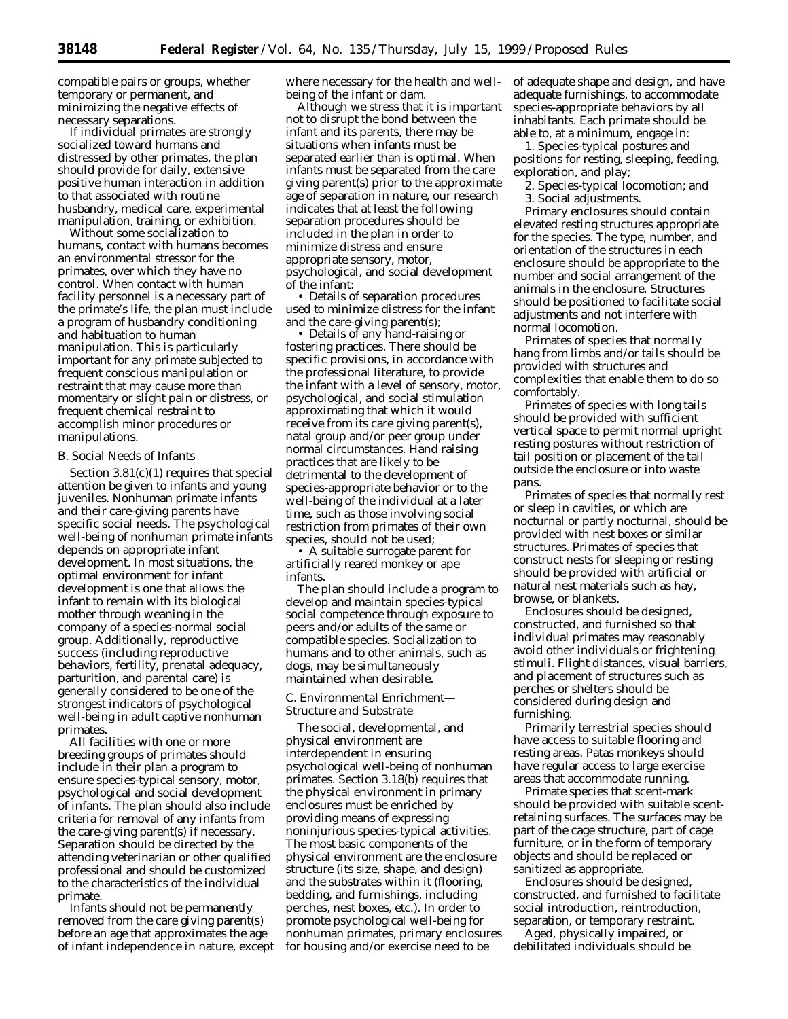compatible pairs or groups, whether temporary or permanent, and minimizing the negative effects of necessary separations.

If individual primates are strongly socialized toward humans and distressed by other primates, the plan should provide for daily, extensive positive human interaction in addition to that associated with routine husbandry, medical care, experimental manipulation, training, or exhibition.

Without some socialization to humans, contact with humans becomes an environmental stressor for the primates, over which they have no control. When contact with human facility personnel is a necessary part of the primate's life, the plan must include a program of husbandry conditioning and habituation to human manipulation. This is particularly important for any primate subjected to frequent conscious manipulation or restraint that may cause more than momentary or slight pain or distress, or frequent chemical restraint to accomplish minor procedures or manipulations.

#### *B. Social Needs of Infants*

Section 3.81(c)(1) requires that special attention be given to infants and young juveniles. Nonhuman primate infants and their care-giving parents have specific social needs. The psychological well-being of nonhuman primate infants depends on appropriate infant development. In most situations, the optimal environment for infant development is one that allows the infant to remain with its biological mother through weaning in the company of a species-normal social group. Additionally, reproductive success (including reproductive behaviors, fertility, prenatal adequacy, parturition, and parental care) is generally considered to be one of the strongest indicators of psychological well-being in adult captive nonhuman primates.

All facilities with one or more breeding groups of primates should include in their plan a program to ensure species-typical sensory, motor, psychological and social development of infants. The plan should also include criteria for removal of any infants from the care-giving parent(s) if necessary. Separation should be directed by the attending veterinarian or other qualified professional and should be customized to the characteristics of the individual primate.

Infants should not be permanently removed from the care giving parent(s) before an age that approximates the age of infant independence in nature, except where necessary for the health and wellbeing of the infant or dam.

Although we stress that it is important not to disrupt the bond between the infant and its parents, there may be situations when infants must be separated earlier than is optimal. When infants must be separated from the care giving parent(s) prior to the approximate age of separation in nature, our research indicates that at least the following separation procedures should be included in the plan in order to minimize distress and ensure appropriate sensory, motor, psychological, and social development of the infant:

• Details of separation procedures used to minimize distress for the infant and the care-giving parent(s);

• Details of any hand-raising or fostering practices. There should be specific provisions, in accordance with the professional literature, to provide the infant with a level of sensory, motor, psychological, and social stimulation approximating that which it would receive from its care giving parent(s), natal group and/or peer group under normal circumstances. Hand raising practices that are likely to be detrimental to the development of species-appropriate behavior or to the well-being of the individual at a later time, such as those involving social restriction from primates of their own species, should not be used;

• A suitable surrogate parent for artificially reared monkey or ape infants.

The plan should include a program to develop and maintain species-typical social competence through exposure to peers and/or adults of the same or compatible species. Socialization to humans and to other animals, such as dogs, may be simultaneously maintained when desirable.

### *C. Environmental Enrichment— Structure and Substrate*

The social, developmental, and physical environment are interdependent in ensuring psychological well-being of nonhuman primates. Section 3.18(b) requires that the physical environment in primary enclosures must be enriched by providing means of expressing noninjurious species-typical activities. The most basic components of the physical environment are the enclosure structure (its size, shape, and design) and the substrates within it (flooring, bedding, and furnishings, including perches, nest boxes, etc.). In order to promote psychological well-being for nonhuman primates, primary enclosures for housing and/or exercise need to be

of adequate shape and design, and have adequate furnishings, to accommodate species-appropriate behaviors by all inhabitants. Each primate should be able to, at a minimum, engage in:

1. Species-typical postures and positions for resting, sleeping, feeding, exploration, and play;

- 2. Species-typical locomotion; and
- 3. Social adjustments.

Primary enclosures should contain elevated resting structures appropriate for the species. The type, number, and orientation of the structures in each enclosure should be appropriate to the number and social arrangement of the animals in the enclosure. Structures should be positioned to facilitate social adjustments and not interfere with normal locomotion.

Primates of species that normally hang from limbs and/or tails should be provided with structures and complexities that enable them to do so comfortably.

Primates of species with long tails should be provided with sufficient vertical space to permit normal upright resting postures without restriction of tail position or placement of the tail outside the enclosure or into waste pans.

Primates of species that normally rest or sleep in cavities, or which are nocturnal or partly nocturnal, should be provided with nest boxes or similar structures. Primates of species that construct nests for sleeping or resting should be provided with artificial or natural nest materials such as hay, browse, or blankets.

Enclosures should be designed, constructed, and furnished so that individual primates may reasonably avoid other individuals or frightening stimuli. Flight distances, visual barriers, and placement of structures such as perches or shelters should be considered during design and furnishing.

Primarily terrestrial species should have access to suitable flooring and resting areas. Patas monkeys should have regular access to large exercise areas that accommodate running.

Primate species that scent-mark should be provided with suitable scentretaining surfaces. The surfaces may be part of the cage structure, part of cage furniture, or in the form of temporary objects and should be replaced or sanitized as appropriate.

Enclosures should be designed, constructed, and furnished to facilitate social introduction, reintroduction, separation, or temporary restraint.

Aged, physically impaired, or debilitated individuals should be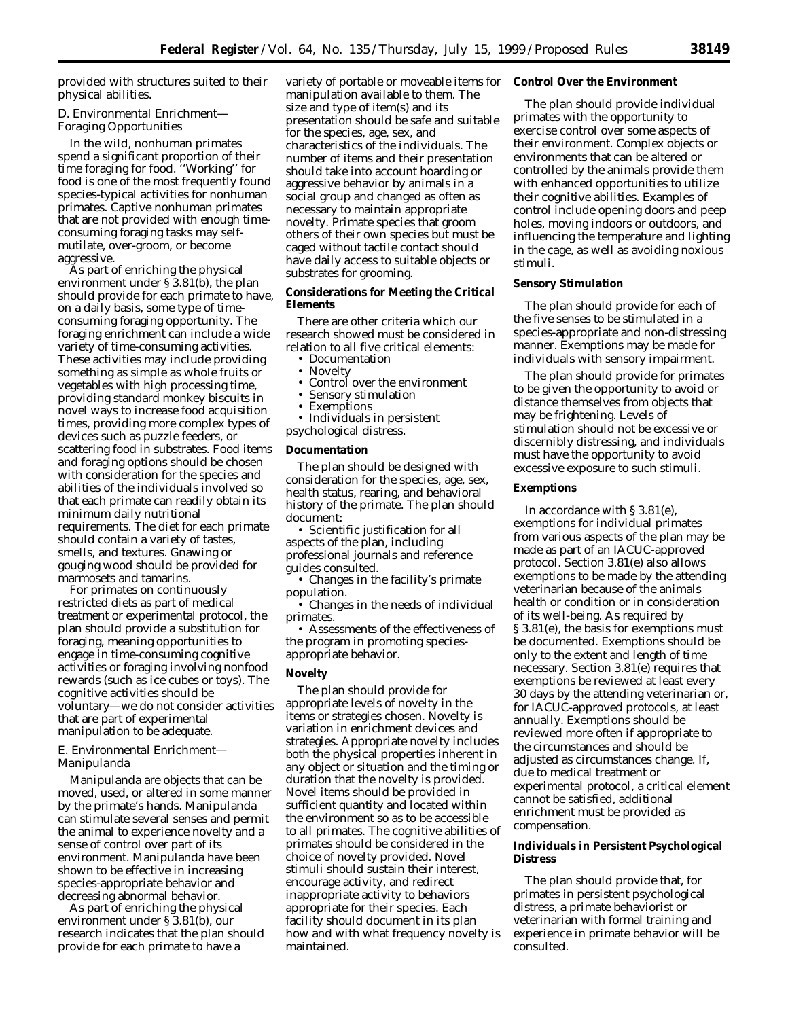provided with structures suited to their physical abilities.

## *D. Environmental Enrichment— Foraging Opportunities*

In the wild, nonhuman primates spend a significant proportion of their time foraging for food. ''Working'' for food is one of the most frequently found species-typical activities for nonhuman primates. Captive nonhuman primates that are not provided with enough timeconsuming foraging tasks may selfmutilate, over-groom, or become aggressive.

As part of enriching the physical environment under § 3.81(b), the plan should provide for each primate to have, on a daily basis, some type of timeconsuming foraging opportunity. The foraging enrichment can include a wide variety of time-consuming activities. These activities may include providing something as simple as whole fruits or vegetables with high processing time, providing standard monkey biscuits in novel ways to increase food acquisition times, providing more complex types of devices such as puzzle feeders, or scattering food in substrates. Food items and foraging options should be chosen with consideration for the species and abilities of the individuals involved so that each primate can readily obtain its minimum daily nutritional requirements. The diet for each primate should contain a variety of tastes, smells, and textures. Gnawing or gouging wood should be provided for marmosets and tamarins.

For primates on continuously restricted diets as part of medical treatment or experimental protocol, the plan should provide a substitution for foraging, meaning opportunities to engage in time-consuming cognitive activities or foraging involving nonfood rewards (such as ice cubes or toys). The cognitive activities should be voluntary—we do not consider activities that are part of experimental manipulation to be adequate.

### *E. Environmental Enrichment— Manipulanda*

Manipulanda are objects that can be moved, used, or altered in some manner by the primate's hands. Manipulanda can stimulate several senses and permit the animal to experience novelty and a sense of control over part of its environment. Manipulanda have been shown to be effective in increasing species-appropriate behavior and decreasing abnormal behavior.

As part of enriching the physical environment under § 3.81(b), our research indicates that the plan should provide for each primate to have a

variety of portable or moveable items for manipulation available to them. The size and type of item(s) and its presentation should be safe and suitable for the species, age, sex, and characteristics of the individuals. The number of items and their presentation should take into account hoarding or aggressive behavior by animals in a social group and changed as often as necessary to maintain appropriate novelty. Primate species that groom others of their own species but must be caged without tactile contact should have daily access to suitable objects or substrates for grooming.

## **Considerations for Meeting the Critical Elements**

There are other criteria which our research showed must be considered in relation to all five critical elements:

- Documentation
- Novelty
- Control over the environment<br>• Sensory stimulation
- Sensory stimulation
- **Exemptions**
- Individuals in persistent psychological distress.

#### **Documentation**

The plan should be designed with consideration for the species, age, sex, health status, rearing, and behavioral history of the primate. The plan should document:

• Scientific justification for all aspects of the plan, including professional journals and reference guides consulted.

• Changes in the facility's primate population.

• Changes in the needs of individual primates.

• Assessments of the effectiveness of the program in promoting speciesappropriate behavior.

## **Novelty**

The plan should provide for appropriate levels of novelty in the items or strategies chosen. Novelty is variation in enrichment devices and strategies. Appropriate novelty includes both the physical properties inherent in any object or situation and the timing or duration that the novelty is provided. Novel items should be provided in sufficient quantity and located within the environment so as to be accessible to all primates. The cognitive abilities of primates should be considered in the choice of novelty provided. Novel stimuli should sustain their interest, encourage activity, and redirect inappropriate activity to behaviors appropriate for their species. Each facility should document in its plan how and with what frequency novelty is maintained.

#### **Control Over the Environment**

The plan should provide individual primates with the opportunity to exercise control over some aspects of their environment. Complex objects or environments that can be altered or controlled by the animals provide them with enhanced opportunities to utilize their cognitive abilities. Examples of control include opening doors and peep holes, moving indoors or outdoors, and influencing the temperature and lighting in the cage, as well as avoiding noxious stimuli.

## **Sensory Stimulation**

The plan should provide for each of the five senses to be stimulated in a species-appropriate and non-distressing manner. Exemptions may be made for individuals with sensory impairment.

The plan should provide for primates to be given the opportunity to avoid or distance themselves from objects that may be frightening. Levels of stimulation should not be excessive or discernibly distressing, and individuals must have the opportunity to avoid excessive exposure to such stimuli.

# **Exemptions**

In accordance with § 3.81(e), exemptions for individual primates from various aspects of the plan may be made as part of an IACUC-approved protocol. Section 3.81(e) also allows exemptions to be made by the attending veterinarian because of the animals health or condition or in consideration of its well-being. As required by § 3.81(e), the basis for exemptions must be documented. Exemptions should be only to the extent and length of time necessary. Section 3.81(e) requires that exemptions be reviewed at least every 30 days by the attending veterinarian or, for IACUC-approved protocols, at least annually. Exemptions should be reviewed more often if appropriate to the circumstances and should be adjusted as circumstances change. If, due to medical treatment or experimental protocol, a critical element cannot be satisfied, additional enrichment must be provided as compensation.

### **Individuals in Persistent Psychological Distress**

The plan should provide that, for primates in persistent psychological distress, a primate behaviorist or veterinarian with formal training and experience in primate behavior will be consulted.